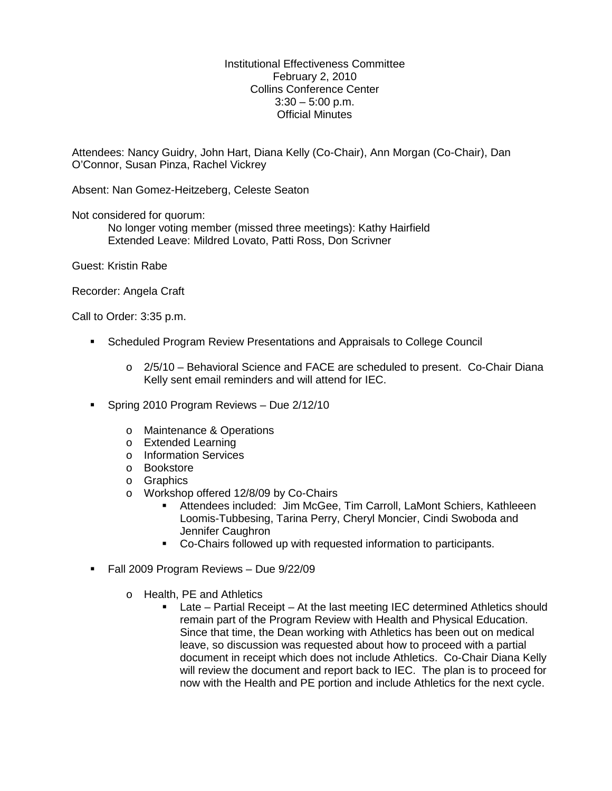Institutional Effectiveness Committee February 2, 2010 Collins Conference Center  $3:30 - 5:00$  p.m. Official Minutes

Attendees: Nancy Guidry, John Hart, Diana Kelly (Co-Chair), Ann Morgan (Co-Chair), Dan O'Connor, Susan Pinza, Rachel Vickrey

Absent: Nan Gomez-Heitzeberg, Celeste Seaton

Not considered for quorum:

No longer voting member (missed three meetings): Kathy Hairfield Extended Leave: Mildred Lovato, Patti Ross, Don Scrivner

Guest: Kristin Rabe

Recorder: Angela Craft

Call to Order: 3:35 p.m.

- Scheduled Program Review Presentations and Appraisals to College Council
	- o 2/5/10 Behavioral Science and FACE are scheduled to present. Co-Chair Diana Kelly sent email reminders and will attend for IEC.
- Spring 2010 Program Reviews Due 2/12/10
	- o Maintenance & Operations
	- o Extended Learning
	- o Information Services
	- o Bookstore
	- o Graphics
	- o Workshop offered 12/8/09 by Co-Chairs
		- Attendees included: Jim McGee, Tim Carroll, LaMont Schiers, Kathleeen Loomis-Tubbesing, Tarina Perry, Cheryl Moncier, Cindi Swoboda and Jennifer Caughron
		- Co-Chairs followed up with requested information to participants.
- Fall 2009 Program Reviews Due 9/22/09
	- o Health, PE and Athletics
		- Late Partial Receipt At the last meeting IEC determined Athletics should remain part of the Program Review with Health and Physical Education. Since that time, the Dean working with Athletics has been out on medical leave, so discussion was requested about how to proceed with a partial document in receipt which does not include Athletics. Co-Chair Diana Kelly will review the document and report back to IEC. The plan is to proceed for now with the Health and PE portion and include Athletics for the next cycle.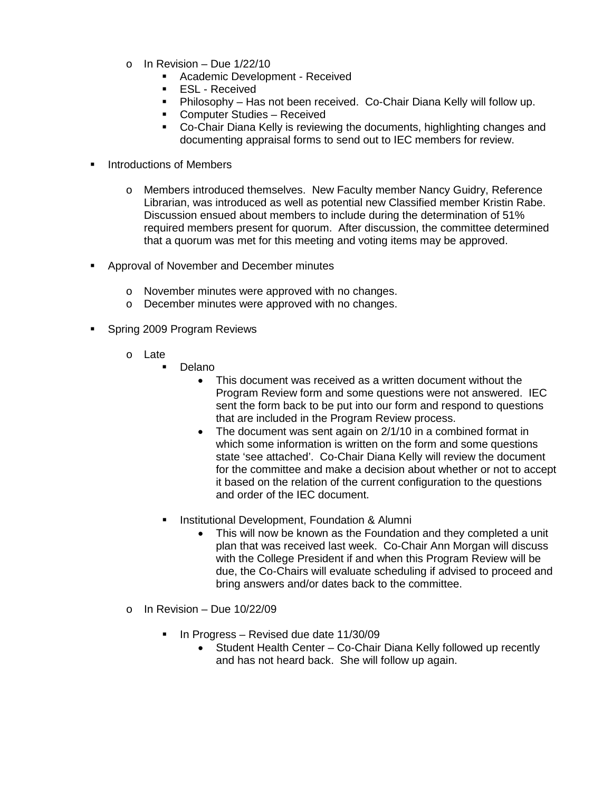- $\circ$  In Revision Due 1/22/10
	- **Academic Development Received**
	- **ESL Received**
	- Philosophy Has not been received. Co-Chair Diana Kelly will follow up.
	- **EXECOMPUTER Studies Received**
	- Co-Chair Diana Kelly is reviewing the documents, highlighting changes and documenting appraisal forms to send out to IEC members for review.
- Introductions of Members
	- o Members introduced themselves. New Faculty member Nancy Guidry, Reference Librarian, was introduced as well as potential new Classified member Kristin Rabe. Discussion ensued about members to include during the determination of 51% required members present for quorum. After discussion, the committee determined that a quorum was met for this meeting and voting items may be approved.
- **Approval of November and December minutes** 
	- o November minutes were approved with no changes.
	- o December minutes were approved with no changes.
- Spring 2009 Program Reviews
	- o Late
		- Delano
			- This document was received as a written document without the Program Review form and some questions were not answered. IEC sent the form back to be put into our form and respond to questions that are included in the Program Review process.
			- The document was sent again on 2/1/10 in a combined format in which some information is written on the form and some questions state 'see attached'. Co-Chair Diana Kelly will review the document for the committee and make a decision about whether or not to accept it based on the relation of the current configuration to the questions and order of the IEC document.
		- Institutional Development, Foundation & Alumni
			- This will now be known as the Foundation and they completed a unit plan that was received last week. Co-Chair Ann Morgan will discuss with the College President if and when this Program Review will be due, the Co-Chairs will evaluate scheduling if advised to proceed and bring answers and/or dates back to the committee.
	- $\circ$  In Revision Due 10/22/09
		- In Progress Revised due date 11/30/09
			- Student Health Center Co-Chair Diana Kelly followed up recently and has not heard back. She will follow up again.